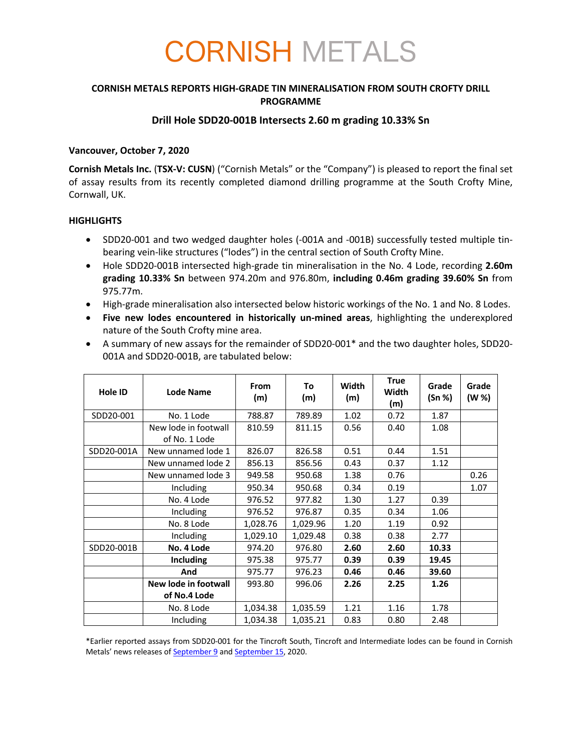# CORNISH METALS

## **CORNISH METALS REPORTS HIGH-GRADE TIN MINERALISATION FROM SOUTH CROFTY DRILL PROGRAMME**

## **Drill Hole SDD20-001B Intersects 2.60 m grading 10.33% Sn**

#### **Vancouver, October 7, 2020**

**Cornish Metals Inc.** (**TSX-V: CUSN**) ("Cornish Metals" or the "Company") is pleased to report the final set of assay results from its recently completed diamond drilling programme at the South Crofty Mine, Cornwall, UK.

#### **HIGHLIGHTS**

- SDD20-001 and two wedged daughter holes (-001A and -001B) successfully tested multiple tinbearing vein-like structures ("lodes") in the central section of South Crofty Mine.
- Hole SDD20-001B intersected high-grade tin mineralisation in the No. 4 Lode, recording **2.60m grading 10.33% Sn** between 974.20m and 976.80m, **including 0.46m grading 39.60% Sn** from 975.77m.
- High-grade mineralisation also intersected below historic workings of the No. 1 and No. 8 Lodes.
- **Five new lodes encountered in historically un-mined areas**, highlighting the underexplored nature of the South Crofty mine area.
- A summary of new assays for the remainder of SDD20-001\* and the two daughter holes, SDD20- 001A and SDD20-001B, are tabulated below:

| <b>Hole ID</b> | <b>Lode Name</b>     | <b>From</b><br>(m) | To<br>(m) | Width<br>(m) | <b>True</b><br>Width<br>(m) | Grade<br>(Sn %) | Grade<br>(W %) |
|----------------|----------------------|--------------------|-----------|--------------|-----------------------------|-----------------|----------------|
| SDD20-001      | No. 1 Lode           | 788.87             | 789.89    | 1.02         | 0.72                        | 1.87            |                |
|                | New lode in footwall | 810.59             | 811.15    | 0.56         | 0.40                        | 1.08            |                |
|                | of No. 1 Lode        |                    |           |              |                             |                 |                |
| SDD20-001A     | New unnamed lode 1   | 826.07             | 826.58    | 0.51         | 0.44                        | 1.51            |                |
|                | New unnamed lode 2   | 856.13             | 856.56    | 0.43         | 0.37                        | 1.12            |                |
|                | New unnamed lode 3   | 949.58             | 950.68    | 1.38         | 0.76                        |                 | 0.26           |
|                | Including            | 950.34             | 950.68    | 0.34         | 0.19                        |                 | 1.07           |
|                | No. 4 Lode           | 976.52             | 977.82    | 1.30         | 1.27                        | 0.39            |                |
|                | <b>Including</b>     | 976.52             | 976.87    | 0.35         | 0.34                        | 1.06            |                |
|                | No. 8 Lode           | 1,028.76           | 1,029.96  | 1.20         | 1.19                        | 0.92            |                |
|                | <b>Including</b>     | 1,029.10           | 1,029.48  | 0.38         | 0.38                        | 2.77            |                |
| SDD20-001B     | No. 4 Lode           | 974.20             | 976.80    | 2.60         | 2.60                        | 10.33           |                |
|                | <b>Including</b>     | 975.38             | 975.77    | 0.39         | 0.39                        | 19.45           |                |
|                | And                  | 975.77             | 976.23    | 0.46         | 0.46                        | 39.60           |                |
|                | New lode in footwall | 993.80             | 996.06    | 2.26         | 2.25                        | 1.26            |                |
|                | of No.4 Lode         |                    |           |              |                             |                 |                |
|                | No. 8 Lode           | 1,034.38           | 1,035.59  | 1.21         | 1.16                        | 1.78            |                |
|                | Including            | 1,034.38           | 1,035.21  | 0.83         | 0.80                        | 2.48            |                |

\*Earlier reported assays from SDD20-001 for the Tincroft South, Tincroft and Intermediate lodes can be found in Cornish Metals' news releases of **September 9** and **September 15**, 2020.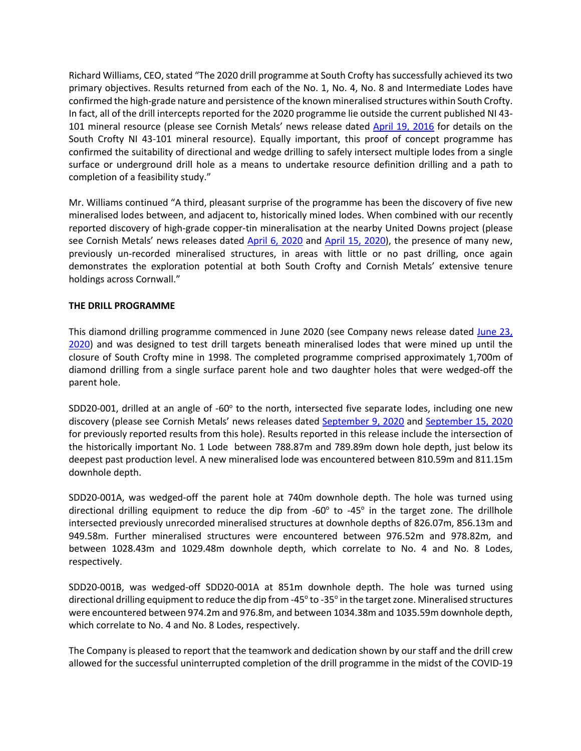Richard Williams, CEO, stated "The 2020 drill programme at South Crofty has successfully achieved its two primary objectives. Results returned from each of the No. 1, No. 4, No. 8 and Intermediate Lodes have confirmed the high-grade nature and persistence of the known mineralised structures within South Crofty. In fact, all of the drill intercepts reported for the 2020 programme lie outside the current published NI 43- 101 mineral resource (please see Cornish Metals' news release dated April 19, 2016 for details on the South Crofty NI 43-101 mineral resource). Equally important, this proof of concept programme has confirmed the suitability of directional and wedge drilling to safely intersect multiple lodes from a single surface or underground drill hole as a means to undertake resource definition drilling and a path to completion of a feasibility study."

Mr. Williams continued "A third, pleasant surprise of the programme has been the discovery of five new mineralised lodes between, and adjacent to, historically mined lodes. When combined with our recently reported discovery of high-grade copper-tin mineralisation at the nearby United Downs project (please see Cornish Metals' news releases dated April 6, 2020 and April 15, 2020), the presence of many new, previously un-recorded mineralised structures, in areas with little or no past drilling, once again demonstrates the exploration potential at both South Crofty and Cornish Metals' extensive tenure holdings across Cornwall."

#### **THE DRILL PROGRAMME**

This diamond drilling programme commenced in June 2020 (see Company news release dated June 23, 2020) and was designed to test drill targets beneath mineralised lodes that were mined up until the closure of South Crofty mine in 1998. The completed programme comprised approximately 1,700m of diamond drilling from a single surface parent hole and two daughter holes that were wedged-off the parent hole.

SDD20-001, drilled at an angle of -60 $^{\circ}$  to the north, intersected five separate lodes, including one new discovery (please see Cornish Metals' news releases dated September 9, 2020 and September 15, 2020 for previously reported results from this hole). Results reported in this release include the intersection of the historically important No. 1 Lode between 788.87m and 789.89m down hole depth, just below its deepest past production level. A new mineralised lode was encountered between 810.59m and 811.15m downhole depth.

SDD20-001A, was wedged-off the parent hole at 740m downhole depth. The hole was turned using directional drilling equipment to reduce the dip from -60° to -45° in the target zone. The drillhole intersected previously unrecorded mineralised structures at downhole depths of 826.07m, 856.13m and 949.58m. Further mineralised structures were encountered between 976.52m and 978.82m, and between 1028.43m and 1029.48m downhole depth, which correlate to No. 4 and No. 8 Lodes, respectively.

SDD20-001B, was wedged-off SDD20-001A at 851m downhole depth. The hole was turned using directional drilling equipment to reduce the dip from -45° to -35° in the target zone. Mineralised structures were encountered between 974.2m and 976.8m, and between 1034.38m and 1035.59m downhole depth, which correlate to No. 4 and No. 8 Lodes, respectively.

The Company is pleased to report that the teamwork and dedication shown by our staff and the drill crew allowed for the successful uninterrupted completion of the drill programme in the midst of the COVID-19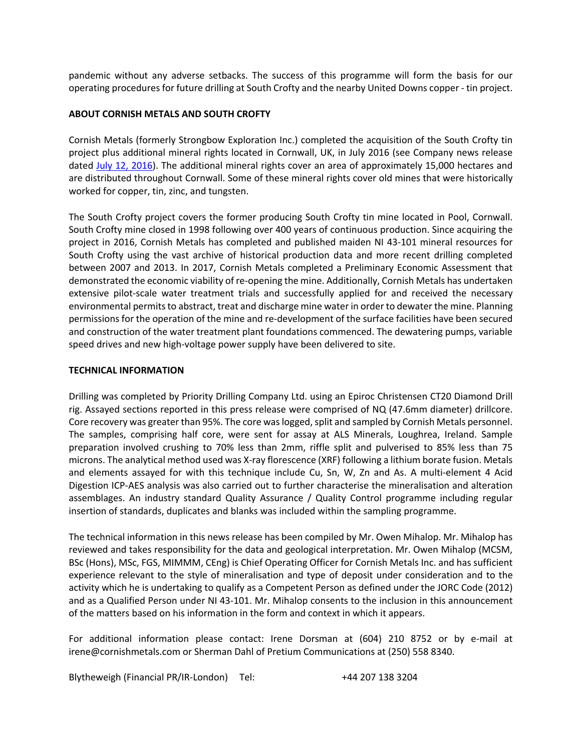pandemic without any adverse setbacks. The success of this programme will form the basis for our operating procedures for future drilling at South Crofty and the nearby United Downs copper - tin project.

#### **ABOUT CORNISH METALS AND SOUTH CROFTY**

Cornish Metals (formerly Strongbow Exploration Inc.) completed the acquisition of the South Crofty tin project plus additional mineral rights located in Cornwall, UK, in July 2016 (see Company news release dated July 12, 2016). The additional mineral rights cover an area of approximately 15,000 hectares and are distributed throughout Cornwall. Some of these mineral rights cover old mines that were historically worked for copper, tin, zinc, and tungsten.

The South Crofty project covers the former producing South Crofty tin mine located in Pool, Cornwall. South Crofty mine closed in 1998 following over 400 years of continuous production. Since acquiring the project in 2016, Cornish Metals has completed and published maiden NI 43-101 mineral resources for South Crofty using the vast archive of historical production data and more recent drilling completed between 2007 and 2013. In 2017, Cornish Metals completed a Preliminary Economic Assessment that demonstrated the economic viability of re-opening the mine. Additionally, Cornish Metals has undertaken extensive pilot-scale water treatment trials and successfully applied for and received the necessary environmental permits to abstract, treat and discharge mine water in order to dewater the mine. Planning permissions for the operation of the mine and re-development of the surface facilities have been secured and construction of the water treatment plant foundations commenced. The dewatering pumps, variable speed drives and new high-voltage power supply have been delivered to site.

#### **TECHNICAL INFORMATION**

Drilling was completed by Priority Drilling Company Ltd. using an Epiroc Christensen CT20 Diamond Drill rig. Assayed sections reported in this press release were comprised of NQ (47.6mm diameter) drillcore. Core recovery was greater than 95%. The core was logged, split and sampled by Cornish Metals personnel. The samples, comprising half core, were sent for assay at ALS Minerals, Loughrea, Ireland. Sample preparation involved crushing to 70% less than 2mm, riffle split and pulverised to 85% less than 75 microns. The analytical method used was X-ray florescence (XRF) following a lithium borate fusion. Metals and elements assayed for with this technique include Cu, Sn, W, Zn and As. A multi-element 4 Acid Digestion ICP-AES analysis was also carried out to further characterise the mineralisation and alteration assemblages. An industry standard Quality Assurance / Quality Control programme including regular insertion of standards, duplicates and blanks was included within the sampling programme.

The technical information in this news release has been compiled by Mr. Owen Mihalop. Mr. Mihalop has reviewed and takes responsibility for the data and geological interpretation. Mr. Owen Mihalop (MCSM, BSc (Hons), MSc, FGS, MIMMM, CEng) is Chief Operating Officer for Cornish Metals Inc. and has sufficient experience relevant to the style of mineralisation and type of deposit under consideration and to the activity which he is undertaking to qualify as a Competent Person as defined under the JORC Code (2012) and as a Qualified Person under NI 43-101. Mr. Mihalop consents to the inclusion in this announcement of the matters based on his information in the form and context in which it appears.

For additional information please contact: Irene Dorsman at (604) 210 8752 or by e-mail at irene@cornishmetals.com or Sherman Dahl of Pretium Communications at (250) 558 8340.

Blytheweigh (Financial PR/IR-London) Tel: +44 207 138 3204